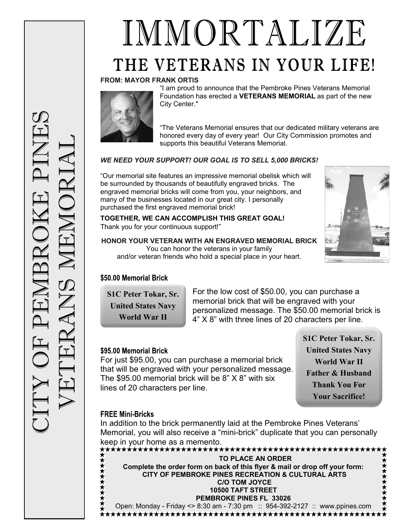# IMMORTALIZE THE VETERANS IN YOUR LIFE!

#### **FROM: MAYOR FRANK ORTIS**



"I am proud to announce that the Pembroke Pines Veterans Memorial Foundation has erected a **VETERANS MEMORIAL** as part of the new City Center."

"The Veterans Memorial ensures that our dedicated military veterans are honored every day of every year! Our City Commission promotes and supports this beautiful Veterans Memorial.

### *WE NEED YOUR SUPPORT! OUR GOAL IS TO SELL 5,000 BRICKS!*

"Our memorial site features an impressive memorial obelisk which will be surrounded by thousands of beautifully engraved bricks. The engraved memorial bricks will come from you, your neighbors, and many of the businesses located in our great city. I personally purchased the first engraved memorial brick!

**TOGETHER, WE CAN ACCOMPLISH THIS GREAT GOAL!**  Thank you for your continuous support!"

**HONOR YOUR VETERAN WITH AN ENGRAVED MEMORIAL BRICK** You can honor the veterans in your family and/or veteran friends who hold a special place in your heart.



\$50.00 Memorial Brick

**S1C Peter Tokar, Sr. United States Navy World War II**

For the low cost of \$50.00, you can purchase a memorial brick that will be engraved with your personalized message. The \$50.00 memorial brick is 4" X 8" with three lines of 20 characters per line.

### \$95.00 Memorial Brick

For just \$95.00, you can purchase a memorial brick that will be engraved with your personalized message. The \$95.00 memorial brick will be 8" X 8" with six lines of 20 characters per line.

**S1C Peter Tokar, Sr. United States Navy World War II Father & Husband Thank You For Your Sacrifice!**

### **FREE Mini-Bricks**

In addition to the brick permanently laid at the Pembroke Pines Veterans' Memorial, you will also receive a "mini-brick" duplicate that you can personally keep in your home as a memento.

**TO PLACE AN ORDER Complete the order form on back of this flyer & mail or drop off your form: CITY OF PEMBROKE PINES RECREATION & CULTURAL ARTS C/O TOM JOYCE 10500 TAFT STREET PEMBROKE PINES FL 33026**

\*\*\*\*\*\*\*\*\*\*\*\* \*\*\*\*\*\*\*\*\*\*\* Open: Monday - Friday <> 8:30 am - 7:30 pm :: 954-392-2127 :: www.ppines.com